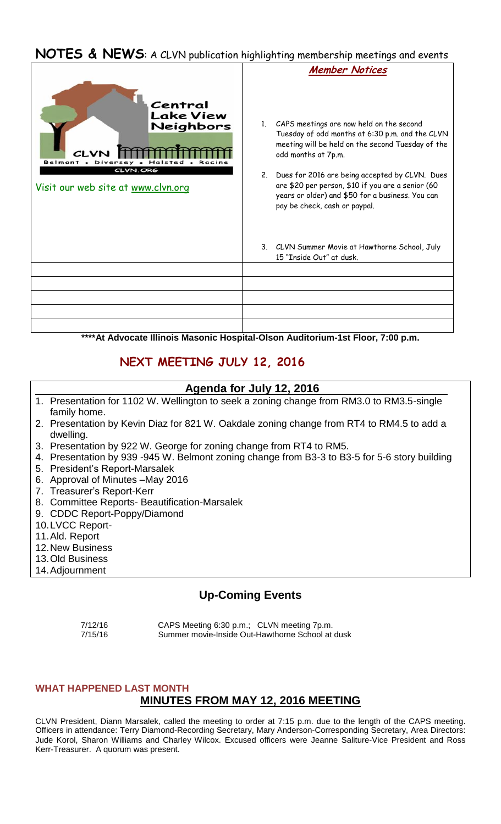# **NOTES & NEWS**: A CLVN publication highlighting membership meetings and events

|                                                                                                               | <b>Member Notices</b>                                                                                                                                                                                                                                                                                                                                                     |
|---------------------------------------------------------------------------------------------------------------|---------------------------------------------------------------------------------------------------------------------------------------------------------------------------------------------------------------------------------------------------------------------------------------------------------------------------------------------------------------------------|
| Central<br><b>Lake View</b><br>Neighbors<br>Belmont .<br>Di<br>CLVN.ORG<br>Visit our web site at www.clvn.org | 1. CAPS meetings are now held on the second<br>Tuesday of odd months at 6:30 p.m. and the CLVN<br>meeting will be held on the second Tuesday of the<br>odd months at 7p.m.<br>2. Dues for 2016 are being accepted by CLVN. Dues<br>are \$20 per person, \$10 if you are a senior (60<br>years or older) and \$50 for a business. You can<br>pay be check, cash or paypal. |
|                                                                                                               | 3. CLVN Summer Movie at Hawthorne School, July<br>15 "Inside Out" at dusk.                                                                                                                                                                                                                                                                                                |
|                                                                                                               |                                                                                                                                                                                                                                                                                                                                                                           |
|                                                                                                               |                                                                                                                                                                                                                                                                                                                                                                           |
|                                                                                                               |                                                                                                                                                                                                                                                                                                                                                                           |
|                                                                                                               |                                                                                                                                                                                                                                                                                                                                                                           |
|                                                                                                               |                                                                                                                                                                                                                                                                                                                                                                           |

**\*\*\*\*At Advocate Illinois Masonic Hospital-Olson Auditorium-1st Floor, 7:00 p.m.**

## **NEXT MEETING JULY 12, 2016**

#### **Agenda for July 12, 2016**

- 1. Presentation for 1102 W. Wellington to seek a zoning change from RM3.0 to RM3.5-single family home.
- 2. Presentation by Kevin Diaz for 821 W. Oakdale zoning change from RT4 to RM4.5 to add a dwelling.
- 3. Presentation by 922 W. George for zoning change from RT4 to RM5.
- 4. Presentation by 939 -945 W. Belmont zoning change from B3-3 to B3-5 for 5-6 story building
- 5. President's Report-Marsalek
- 6. Approval of Minutes –May 2016
- 7. Treasurer's Report-Kerr
- 8. Committee Reports- Beautification-Marsalek
- 9. CDDC Report-Poppy/Diamond
- 10.LVCC Report-
- 11.Ald. Report
- 12.New Business
- 13.Old Business
- 14.Adjournment

### **Up-Coming Events**

 7/12/16 CAPS Meeting 6:30 p.m.; CLVN meeting 7p.m. 7/15/16 Summer movie-Inside Out-Hawthorne School at dusk

# **WHAT HAPPENED LAST MONTH**

# **MINUTES FROM MAY 12, 2016 MEETING**

CLVN President, Diann Marsalek, called the meeting to order at 7:15 p.m. due to the length of the CAPS meeting. Officers in attendance: Terry Diamond-Recording Secretary, Mary Anderson-Corresponding Secretary, Area Directors: Jude Korol, Sharon Williams and Charley Wilcox. Excused officers were Jeanne Saliture-Vice President and Ross Kerr-Treasurer. A quorum was present.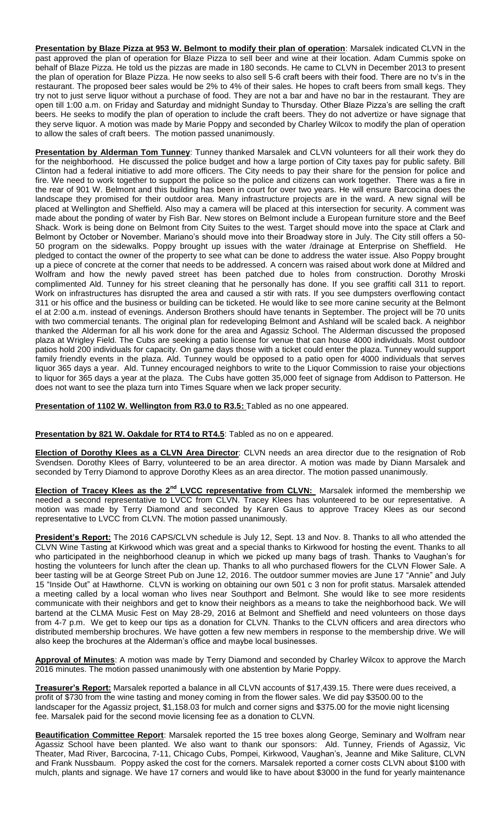**Presentation by Blaze Pizza at 953 W. Belmont to modify their plan of operation**: Marsalek indicated CLVN in the past approved the plan of operation for Blaze Pizza to sell beer and wine at their location. Adam Cummis spoke on behalf of Blaze Pizza. He told us the pizzas are made in 180 seconds. He came to CLVN in December 2013 to present the plan of operation for Blaze Pizza. He now seeks to also sell 5-6 craft beers with their food. There are no tv's in the restaurant. The proposed beer sales would be 2% to 4% of their sales. He hopes to craft beers from small kegs. They try not to just serve liquor without a purchase of food. They are not a bar and have no bar in the restaurant. They are open till 1:00 a.m. on Friday and Saturday and midnight Sunday to Thursday. Other Blaze Pizza's are selling the craft beers. He seeks to modify the plan of operation to include the craft beers. They do not advertize or have signage that they serve liquor. A motion was made by Marie Poppy and seconded by Charley Wilcox to modify the plan of operation to allow the sales of craft beers. The motion passed unanimously.

**Presentation by Alderman Tom Tunney**: Tunney thanked Marsalek and CLVN volunteers for all their work they do for the neighborhood. He discussed the police budget and how a large portion of City taxes pay for public safety. Bill Clinton had a federal initiative to add more officers. The City needs to pay their share for the pension for police and fire. We need to work together to support the police so the police and citizens can work together. There was a fire in the rear of 901 W. Belmont and this building has been in court for over two years. He will ensure Barcocina does the landscape they promised for their outdoor area. Many infrastructure projects are in the ward. A new signal will be placed at Wellington and Sheffield. Also may a camera will be placed at this intersection for security. A comment was made about the ponding of water by Fish Bar. New stores on Belmont include a European furniture store and the Beef Shack. Work is being done on Belmont from City Suites to the west. Target should move into the space at Clark and Belmont by October or November. Mariano's should move into their Broadway store in July. The City still offers a 50- 50 program on the sidewalks. Poppy brought up issues with the water /drainage at Enterprise on Sheffield. He pledged to contact the owner of the property to see what can be done to address the water issue. Also Poppy brought up a piece of concrete at the corner that needs to be addressed. A concern was raised about work done at Mildred and Wolfram and how the newly paved street has been patched due to holes from construction. Dorothy Mroski complimented Ald. Tunney for his street cleaning that he personally has done. If you see graffiti call 311 to report. Work on infrastructures has disrupted the area and caused a stir with rats. If you see dumpsters overflowing contact 311 or his office and the business or building can be ticketed. He would like to see more canine security at the Belmont el at 2:00 a.m. instead of evenings. Anderson Brothers should have tenants in September. The project will be 70 units with two commercial tenants. The original plan for redeveloping Belmont and Ashland will be scaled back. A neighbor thanked the Alderman for all his work done for the area and Agassiz School. The Alderman discussed the proposed plaza at Wrigley Field. The Cubs are seeking a patio license for venue that can house 4000 individuals. Most outdoor patios hold 200 individuals for capacity. On game days those with a ticket could enter the plaza. Tunney would support family friendly events in the plaza. Ald. Tunney would be opposed to a patio open for 4000 individuals that serves liquor 365 days a year. Ald. Tunney encouraged neighbors to write to the Liquor Commission to raise your objections to liquor for 365 days a year at the plaza. The Cubs have gotten 35,000 feet of signage from Addison to Patterson. He does not want to see the plaza turn into Times Square when we lack proper security.

**Presentation of 1102 W. Wellington from R3.0 to R3.5:** Tabled as no one appeared.

**Presentation by 821 W. Oakdale for RT4 to RT4.5**: Tabled as no on e appeared.

**Election of Dorothy Klees as a CLVN Area Director**: CLVN needs an area director due to the resignation of Rob Svendsen. Dorothy Klees of Barry, volunteered to be an area director. A motion was made by Diann Marsalek and seconded by Terry Diamond to approve Dorothy Klees as an area director. The motion passed unanimously.

**Election of Tracey Klees as the 2nd LVCC representative from CLVN:** Marsalek informed the membership we needed a second representative to LVCC from CLVN. Tracey Klees has volunteered to be our representative. A motion was made by Terry Diamond and seconded by Karen Gaus to approve Tracey Klees as our second representative to LVCC from CLVN. The motion passed unanimously.

**President's Report:** The 2016 CAPS/CLVN schedule is July 12, Sept. 13 and Nov. 8. Thanks to all who attended the CLVN Wine Tasting at Kirkwood which was great and a special thanks to Kirkwood for hosting the event. Thanks to all who participated in the neighborhood cleanup in which we picked up many bags of trash. Thanks to Vaughan's for hosting the volunteers for lunch after the clean up. Thanks to all who purchased flowers for the CLVN Flower Sale. A beer tasting will be at George Street Pub on June 12, 2016. The outdoor summer movies are June 17 "Annie" and July 15 "Inside Out" at Hawthorne. CLVN is working on obtaining our own 501 c 3 non for profit status. Marsalek attended a meeting called by a local woman who lives near Southport and Belmont. She would like to see more residents communicate with their neighbors and get to know their neighbors as a means to take the neighborhood back. We will bartend at the CLMA Music Fest on May 28-29, 2016 at Belmont and Sheffield and need volunteers on those days from 4-7 p.m. We get to keep our tips as a donation for CLVN. Thanks to the CLVN officers and area directors who distributed membership brochures. We have gotten a few new members in response to the membership drive. We will also keep the brochures at the Alderman's office and maybe local businesses.

**Approval of Minutes**: A motion was made by Terry Diamond and seconded by Charley Wilcox to approve the March 2016 minutes. The motion passed unanimously with one abstention by Marie Poppy.

**Treasurer's Report:** Marsalek reported a balance in all CLVN accounts of \$17,439.15. There were dues received, a profit of \$730 from the wine tasting and money coming in from the flower sales. We did pay \$3500.00 to the landscaper for the Agassiz project, \$1,158.03 for mulch and corner signs and \$375.00 for the movie night licensing fee. Marsalek paid for the second movie licensing fee as a donation to CLVN.

**Beautification Committee Report**: Marsalek reported the 15 tree boxes along George, Seminary and Wolfram near Agassiz School have been planted. We also want to thank our sponsors: Ald. Tunney, Friends of Agassiz, Vic Theater, Mad River, Barcocina, 7-11, Chicago Cubs, Pompei, Kirkwood, Vaughan's, Jeanne and Mike Saliture, CLVN and Frank Nussbaum. Poppy asked the cost for the corners. Marsalek reported a corner costs CLVN about \$100 with mulch, plants and signage. We have 17 corners and would like to have about \$3000 in the fund for yearly maintenance